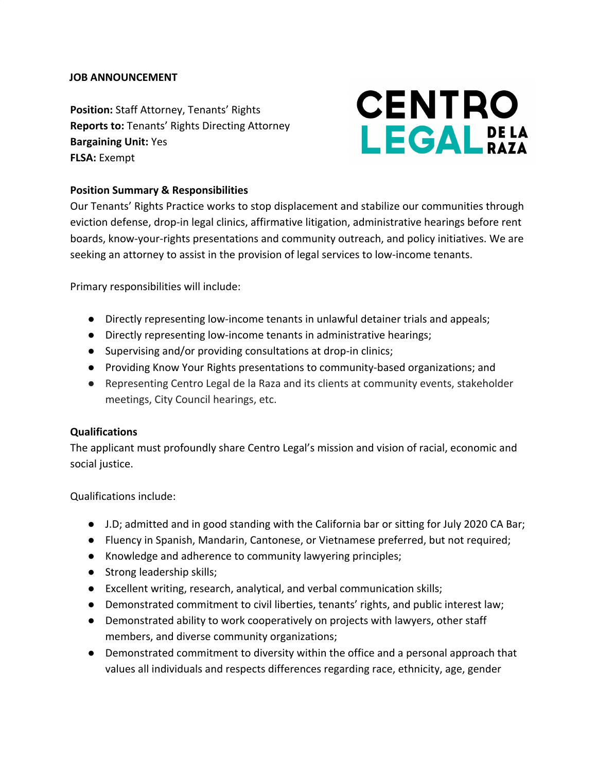## **JOB ANNOUNCEMENT**

**Position:** Staff Attorney, Tenants' Rights **Reports to:** Tenants' Rights Directing Attorney **Bargaining Unit:** Yes **FLSA:** Exempt

# **CENTRO LEGAL**<sub>RAZA</sub>

# **Position Summary & Responsibilities**

Our Tenants' Rights Practice works to stop displacement and stabilize our communities through eviction defense, drop-in legal clinics, affirmative litigation, administrative hearings before rent boards, know-your-rights presentations and community outreach, and policy initiatives. We are seeking an attorney to assist in the provision of legal services to low-income tenants.

Primary responsibilities will include:

- Directly representing low-income tenants in unlawful detainer trials and appeals;
- Directly representing low-income tenants in administrative hearings;
- Supervising and/or providing consultations at drop-in clinics;
- Providing Know Your Rights presentations to community-based organizations; and
- Representing Centro Legal de la Raza and its clients at community events, stakeholder meetings, City Council hearings, etc.

## **Qualifications**

The applicant must profoundly share Centro Legal's mission and vision of racial, economic and social justice.

Qualifications include:

- J.D; admitted and in good standing with the California bar or sitting for July 2020 CA Bar;
- Fluency in Spanish, Mandarin, Cantonese, or Vietnamese preferred, but not required;
- Knowledge and adherence to community lawyering principles;
- Strong leadership skills;
- Excellent writing, research, analytical, and verbal communication skills;
- Demonstrated commitment to civil liberties, tenants' rights, and public interest law;
- Demonstrated ability to work cooperatively on projects with lawyers, other staff members, and diverse community organizations;
- Demonstrated commitment to diversity within the office and a personal approach that values all individuals and respects differences regarding race, ethnicity, age, gender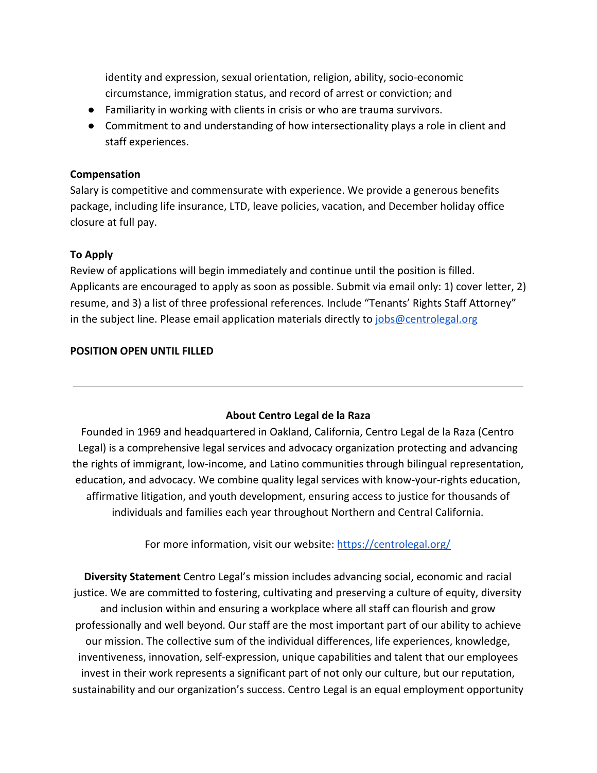identity and expression, sexual orientation, religion, ability, socio-economic circumstance, immigration status, and record of arrest or conviction; and

- Familiarity in working with clients in crisis or who are trauma survivors.
- Commitment to and understanding of how intersectionality plays a role in client and staff experiences.

## **Compensation**

Salary is competitive and commensurate with experience. We provide a generous benefits package, including life insurance, LTD, leave policies, vacation, and December holiday office closure at full pay.

#### **To Apply**

Review of applications will begin immediately and continue until the position is filled. Applicants are encouraged to apply as soon as possible. Submit via email only: 1) cover letter, 2) resume, and 3) a list of three professional references. Include "Tenants' Rights Staff Attorney" in the subject line. Please email application materials directly to  $jobs@centrolegal.org$ 

#### **POSITION OPEN UNTIL FILLED**

## **About Centro Legal de la Raza**

Founded in 1969 and headquartered in Oakland, California, Centro Legal de la Raza (Centro Legal) is a comprehensive legal services and advocacy organization protecting and advancing the rights of immigrant, low-income, and Latino communities through bilingual representation, education, and advocacy. We combine quality legal services with know-your-rights education, affirmative litigation, and youth development, ensuring access to justice for thousands of individuals and families each year throughout Northern and Central California.

For more information, visit our website: <https://centrolegal.org/>

**Diversity Statement** Centro Legal's mission includes advancing social, economic and racial justice. We are committed to fostering, cultivating and preserving a culture of equity, diversity and inclusion within and ensuring a workplace where all staff can flourish and grow professionally and well beyond. Our staff are the most important part of our ability to achieve our mission. The collective sum of the individual differences, life experiences, knowledge, inventiveness, innovation, self-expression, unique capabilities and talent that our employees invest in their work represents a significant part of not only our culture, but our reputation, sustainability and our organization's success. Centro Legal is an equal employment opportunity